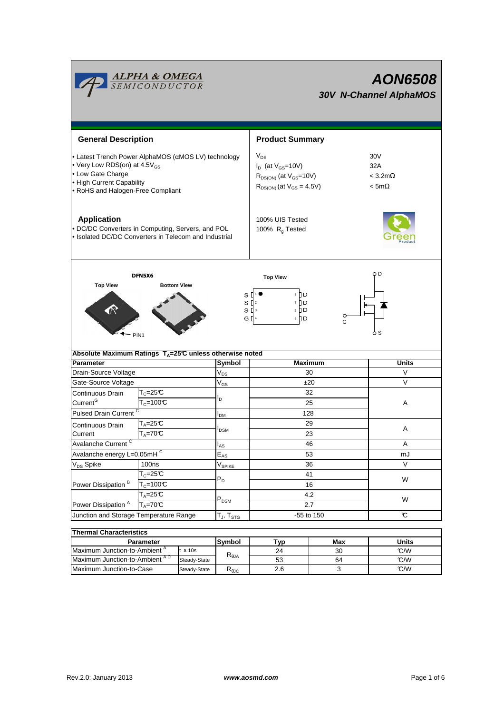

| THEITIM UNA AUCHSIUS                     |              |                |     |     |       |  |  |  |  |  |
|------------------------------------------|--------------|----------------|-----|-----|-------|--|--|--|--|--|
| Parameter                                |              | Symbol         | Тур | Max | Units |  |  |  |  |  |
| Maximum Junction-to-Ambient <sup>"</sup> | $\leq 10s$   | $R_{\theta$ JA | 24  | 30  | °C/W  |  |  |  |  |  |
| Maximum Junction-to-Ambient AD           | Steady-State |                | 53  | 64  | C/W   |  |  |  |  |  |
| Maximum Junction-to-Case                 | Steady-State | ιγ⊎C           | 2.6 |     | C/W   |  |  |  |  |  |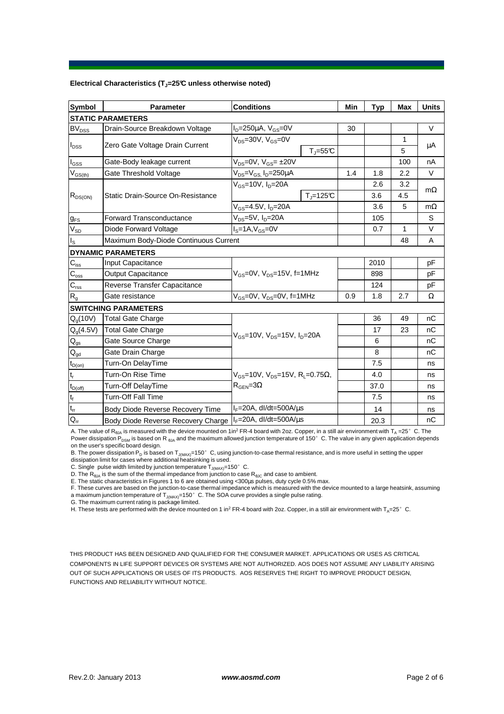## **Electrical Characteristics (TJ=25°C unless otherwise noted)**

| <b>Symbol</b>                          | <b>Parameter</b>                      | <b>Conditions</b>                                                    |     | <b>Typ</b> | <b>Max</b> | <b>Units</b> |  |  |  |  |  |
|----------------------------------------|---------------------------------------|----------------------------------------------------------------------|-----|------------|------------|--------------|--|--|--|--|--|
| <b>STATIC PARAMETERS</b>               |                                       |                                                                      |     |            |            |              |  |  |  |  |  |
| $BV_{DSS}$                             | Drain-Source Breakdown Voltage        | $I_D = 250 \mu A$ , $V_{GS} = 0V$                                    | 30  |            |            | $\vee$       |  |  |  |  |  |
| $I_{DSS}$                              | Zero Gate Voltage Drain Current       | $V_{DS}$ =30V, $V_{GS}$ =0V                                          |     |            | 1          | μA           |  |  |  |  |  |
|                                        |                                       | $T_{\text{J}} = 55^{\circ}C$                                         |     |            | 5          |              |  |  |  |  |  |
| $I_{GSS}$                              | Gate-Body leakage current             | $V_{DS} = 0V$ , $V_{GS} = \pm 20V$                                   |     |            | 100        | nA           |  |  |  |  |  |
| $\mathsf{V}_{\mathsf{GS(th)}}$         | Gate Threshold Voltage                | $V_{DS} = V_{GS}$ , $I_D = 250 \mu A$                                | 1.4 | 1.8        | 2.2        | $\vee$       |  |  |  |  |  |
| $R_{DS(ON)}$                           | Static Drain-Source On-Resistance     | $V_{GS}$ =10V, $I_{D}$ =20A                                          |     | 2.6        | 3.2        |              |  |  |  |  |  |
|                                        |                                       | $T = 125C$                                                           |     | 3.6        | 4.5        | $m\Omega$    |  |  |  |  |  |
|                                        |                                       | $V_{GS} = 4.5V$ , $I_D = 20A$                                        |     | 3.6        | 5          | $m\Omega$    |  |  |  |  |  |
| $g_{FS}$                               | <b>Forward Transconductance</b>       | $V_{DS}$ =5V, $I_D$ =20A                                             |     | 105        |            | S            |  |  |  |  |  |
| $V_{SD}$                               | Diode Forward Voltage                 | $IS=1A, VGS=0V$                                                      |     | 0.7        | 1          | $\vee$       |  |  |  |  |  |
| $I_{\rm S}$                            | Maximum Body-Diode Continuous Current |                                                                      |     | 48         | A          |              |  |  |  |  |  |
|                                        | <b>DYNAMIC PARAMETERS</b>             |                                                                      |     |            |            |              |  |  |  |  |  |
| $C_{\text{iss}}$                       | Input Capacitance                     |                                                                      |     | 2010       |            | pF           |  |  |  |  |  |
| $C_{\rm oss}$                          | <b>Output Capacitance</b>             | $V_{\text{GS}}$ =0V, $V_{\text{DS}}$ =15V, f=1MHz                    |     | 898        |            | pF           |  |  |  |  |  |
| $C_{\text{rss}}$                       | Reverse Transfer Capacitance          |                                                                      |     | 124        |            | pF           |  |  |  |  |  |
| $R_{q}$                                | Gate resistance                       | $V_{GS}$ =0V, $V_{DS}$ =0V, f=1MHz                                   | 0.9 | 1.8        | 2.7        | Ω            |  |  |  |  |  |
|                                        | <b>SWITCHING PARAMETERS</b>           |                                                                      |     |            |            |              |  |  |  |  |  |
| $Q_q(10V)$                             | <b>Total Gate Charge</b>              |                                                                      |     | 36         | 49         | nC           |  |  |  |  |  |
| $Q_g(4.5V)$                            | <b>Total Gate Charge</b>              |                                                                      |     | 17         | 23         | nC           |  |  |  |  |  |
| $\mathsf{Q}_{\mathsf{gs}}$             | Gate Source Charge                    | $V_{GS}$ =10V, $V_{DS}$ =15V, $I_{D}$ =20A                           |     | 6          |            | nC           |  |  |  |  |  |
| $\mathsf{Q}_{\underline{\mathsf{gd}}}$ | Gate Drain Charge                     |                                                                      |     | 8          |            | nC           |  |  |  |  |  |
| $t_{D(on)}$                            | Turn-On DelayTime                     |                                                                      |     | 7.5        |            | ns           |  |  |  |  |  |
| t,                                     | Turn-On Rise Time                     | $V_{\text{GS}} = 10V$ , $V_{\text{DS}} = 15V$ , $R_1 = 0.75\Omega$ , |     | 4.0        |            | ns           |  |  |  |  |  |
| $t_{D(off)}$                           | Turn-Off DelayTime                    | $R_{\text{GEN}} = 3\Omega$                                           |     | 37.0       |            | ns           |  |  |  |  |  |
| $t_f$                                  | Turn-Off Fall Time                    |                                                                      |     | 7.5        |            | ns           |  |  |  |  |  |
| $t_{rr}$                               | Body Diode Reverse Recovery Time      | $I_F = 20A$ , dl/dt=500A/ $\mu$ s                                    |     | 14         |            | ns           |  |  |  |  |  |
| $Q_{rr}$                               | Body Diode Reverse Recovery Charge    | $I_F = 20A$ , dl/dt=500A/us                                          |     | 20.3       |            | nС           |  |  |  |  |  |

A. The value of R<sub>BJA</sub> is measured with the device mounted on 1in<sup>2</sup> FR-4 board with 2oz. Copper, in a still air environment with T<sub>A</sub> =25°C. The Power dissipation  $P_{DSM}$  is based on R  $_{0JA}$  and the maximum allowed junction temperature of 150° C. The value in any given application depends on the user's specific board design.

B. The power dissipation P<sub>D</sub> is based on T<sub>JMAX)</sub>=150°C, using junction-to-case thermal resistance, and is more useful in setting the upper<br>dissipation limit for cases where additional heatsinking is used.

C. Single pulse width limited by junction temperature  $T_{J(MAX)}$ =150°C.

D. The  $R_{\theta JA}$  is the sum of the thermal impedance from junction to case  $R_{\theta JC}$  and case to ambient.

E. The static characteristics in Figures 1 to 6 are obtained using <300µs pulses, duty cycle 0.5% max.

F. These curves are based on the junction-to-case thermal impedance which is measured with the device mounted to a large heatsink, assuming a maximum junction temperature of T<sub>J(MAX)</sub>=150°C. The SOA curve provides a single pulse rating.

G. The maximum current rating is package limited.

H. These tests are performed with the device mounted on 1 in<sup>2</sup> FR-4 board with 2oz. Copper, in a still air environment with T<sub>A</sub>=25°C.

THIS PRODUCT HAS BEEN DESIGNED AND QUALIFIED FOR THE CONSUMER MARKET. APPLICATIONS OR USES AS CRITICAL COMPONENTS IN LIFE SUPPORT DEVICES OR SYSTEMS ARE NOT AUTHORIZED. AOS DOES NOT ASSUME ANY LIABILITY ARISING OUT OF SUCH APPLICATIONS OR USES OF ITS PRODUCTS. AOS RESERVES THE RIGHT TO IMPROVE PRODUCT DESIGN, FUNCTIONS AND RELIABILITY WITHOUT NOTICE.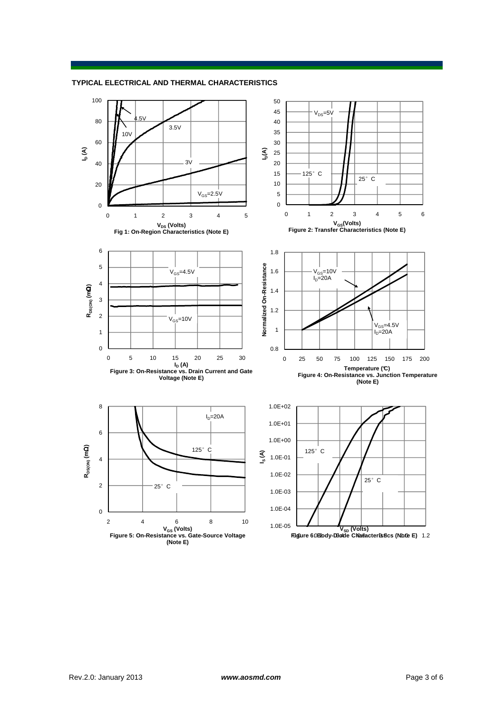**TYPICAL ELECTRICAL AND THERMAL CHARACTERISTICS**

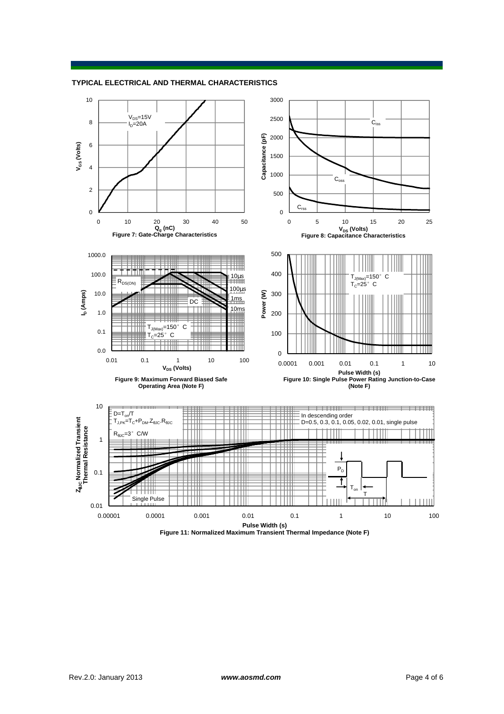



**Figure 11: Normalized Maximum Transient Thermal Impedance (Note F)**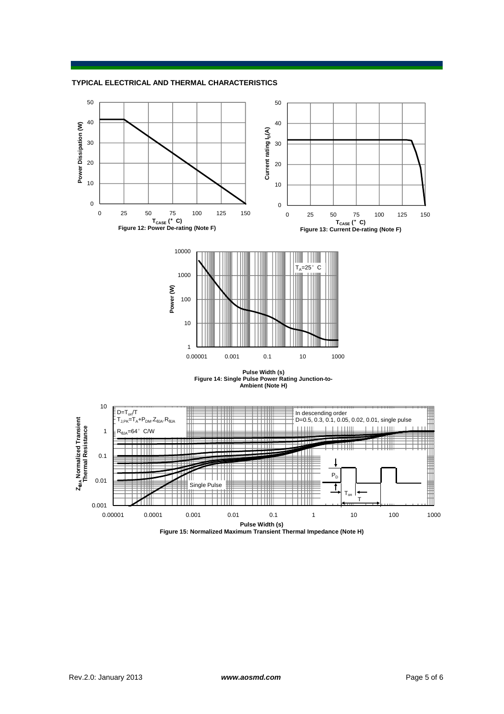**TYPICAL ELECTRICAL AND THERMAL CHARACTERISTICS**





**Pulse Width (s) Figure 14: Single Pulse Power Rating Junction-to-Ambient (Note H) Ambient (Note H)**